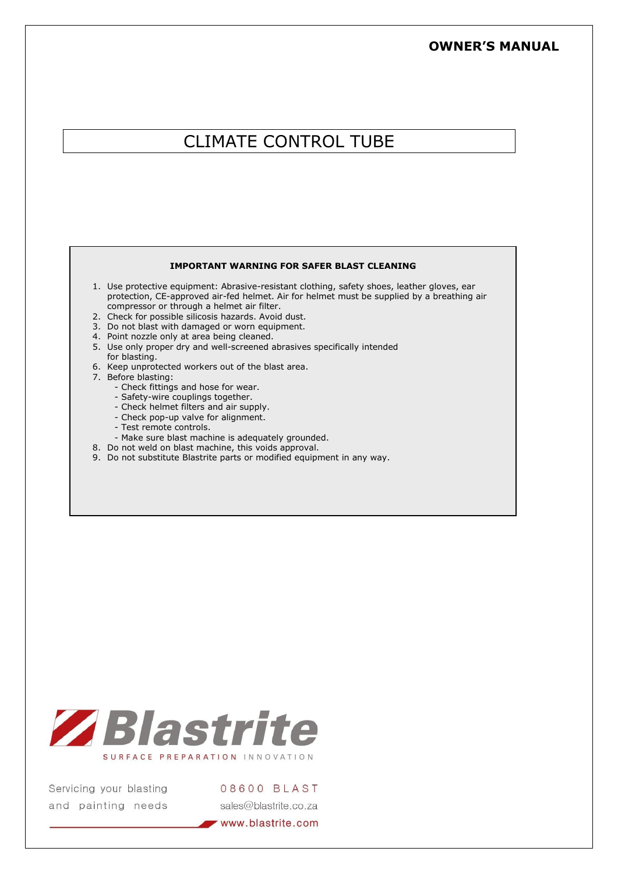# **OWNER'S MANUAL**

# CLIMATE CONTROL TUBE

#### **IMPORTANT WARNING FOR SAFER BLAST CLEANING**

- 1. Use protective equipment: Abrasive-resistant clothing, safety shoes, leather gloves, ear protection, CE-approved air-fed helmet. Air for helmet must be supplied by a breathing air compressor or through a helmet air filter.
- 2. Check for possible silicosis hazards. Avoid dust.
- 3. Do not blast with damaged or worn equipment.
- 4. Point nozzle only at area being cleaned.
- 5. Use only proper dry and well-screened abrasives specifically intended for blasting.
- 6. Keep unprotected workers out of the blast area.
- 7. Before blasting:
	- Check fittings and hose for wear.
	- Safety-wire couplings together.
	- Check helmet filters and air supply.
	- Check pop-up valve for alignment.
	- Test remote controls.
	- Make sure blast machine is adequately grounded.
- 8. Do not weld on blast machine, this voids approval.
- 9. Do not substitute Blastrite parts or modified equipment in any way.



Servicing your blasting and painting needs 08600 BLAST sales@blastrite.co.za

www.blastrite.com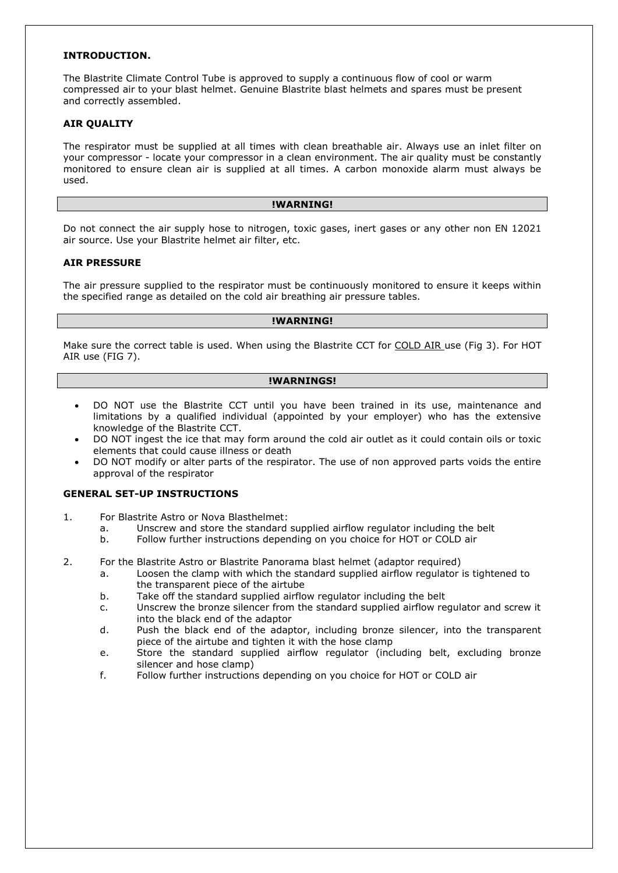## **INTRODUCTION.**

The Blastrite Climate Control Tube is approved to supply a continuous flow of cool or warm compressed air to your blast helmet. Genuine Blastrite blast helmets and spares must be present and correctly assembled.

#### **AIR QUALITY**

The respirator must be supplied at all times with clean breathable air. Always use an inlet filter on your compressor - locate your compressor in a clean environment. The air quality must be constantly monitored to ensure clean air is supplied at all times. A carbon monoxide alarm must always be used.

#### **!WARNING!**

Do not connect the air supply hose to nitrogen, toxic gases, inert gases or any other non EN 12021 air source. Use your Blastrite helmet air filter, etc.

#### **AIR PRESSURE**

The air pressure supplied to the respirator must be continuously monitored to ensure it keeps within the specified range as detailed on the cold air breathing air pressure tables.

#### **!WARNING!**

Make sure the correct table is used. When using the Blastrite CCT for COLD AIR use (Fig 3). For HOT AIR use (FIG 7).

#### **!WARNINGS!**

- DO NOT use the Blastrite CCT until you have been trained in its use, maintenance and limitations by a qualified individual (appointed by your employer) who has the extensive knowledge of the Blastrite CCT.
- DO NOT ingest the ice that may form around the cold air outlet as it could contain oils or toxic elements that could cause illness or death
- DO NOT modify or alter parts of the respirator. The use of non approved parts voids the entire approval of the respirator

#### **GENERAL SET-UP INSTRUCTIONS**

- 1. For Blastrite Astro or Nova Blasthelmet:
	- a. Unscrew and store the standard supplied airflow regulator including the belt
	- b. Follow further instructions depending on you choice for HOT or COLD air
- 2. For the Blastrite Astro or Blastrite Panorama blast helmet (adaptor required)
	- a. Loosen the clamp with which the standard supplied airflow regulator is tightened to the transparent piece of the airtube
	- b. Take off the standard supplied airflow regulator including the belt
	- c. Unscrew the bronze silencer from the standard supplied airflow regulator and screw it into the black end of the adaptor
	- d. Push the black end of the adaptor, including bronze silencer, into the transparent piece of the airtube and tighten it with the hose clamp
	- e. Store the standard supplied airflow regulator (including belt, excluding bronze silencer and hose clamp)
	- f. Follow further instructions depending on you choice for HOT or COLD air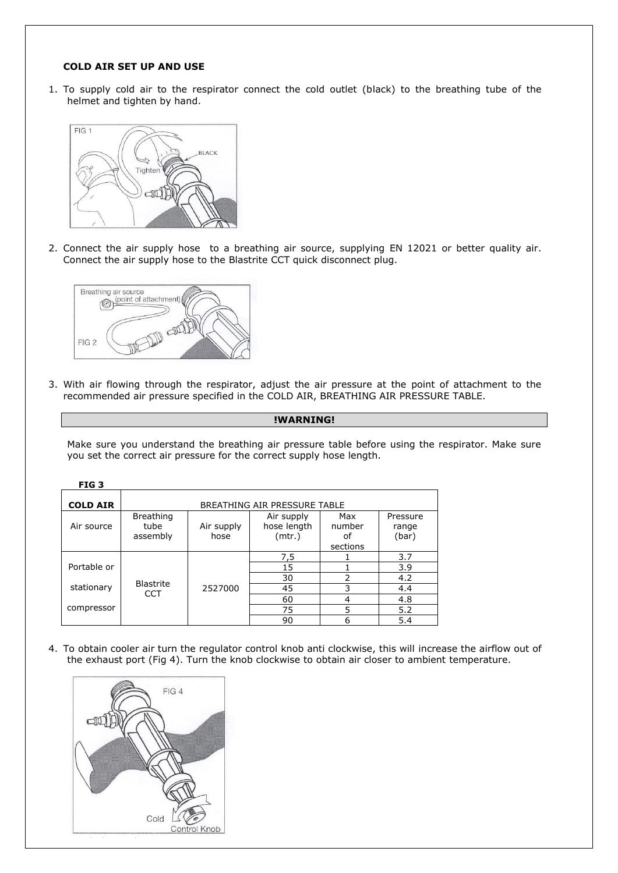## **COLD AIR SET UP AND USE**

1. To supply cold air to the respirator connect the cold outlet (black) to the breathing tube of the helmet and tighten by hand.



2. Connect the air supply hose to a breathing air source, supplying EN 12021 or better quality air. Connect the air supply hose to the Blastrite CCT quick disconnect plug.



3. With air flowing through the respirator, adjust the air pressure at the point of attachment to the recommended air pressure specified in the COLD AIR, BREATHING AIR PRESSURE TABLE.

## **!WARNING!**

Make sure you understand the breathing air pressure table before using the respirator. Make sure you set the correct air pressure for the correct supply hose length.

| FIG <sub>3</sub> |                                      |                    |                                     |                                 |                            |  |
|------------------|--------------------------------------|--------------------|-------------------------------------|---------------------------------|----------------------------|--|
| <b>COLD AIR</b>  | BREATHING AIR PRESSURE TABLE         |                    |                                     |                                 |                            |  |
| Air source       | <b>Breathing</b><br>tube<br>assembly | Air supply<br>hose | Air supply<br>hose length<br>(mtr.) | Max<br>number<br>οt<br>sections | Pressure<br>range<br>(bar) |  |
|                  |                                      |                    | 7,5                                 |                                 | 3.7                        |  |
| Portable or      |                                      |                    | 15                                  |                                 | 3.9                        |  |
|                  | <b>Blastrite</b>                     |                    | 30                                  | 2                               | 4.2                        |  |
| stationary       | <b>CCT</b>                           | 2527000            | 45                                  | 3                               | 4.4                        |  |
|                  |                                      |                    | 60                                  | 4                               | 4.8                        |  |
| compressor       |                                      |                    | 75                                  | 5                               | 5.2                        |  |
|                  |                                      |                    | 90                                  | 6                               | 5.4                        |  |

4. To obtain cooler air turn the regulator control knob anti clockwise, this will increase the airflow out of the exhaust port (Fig 4). Turn the knob clockwise to obtain air closer to ambient temperature.

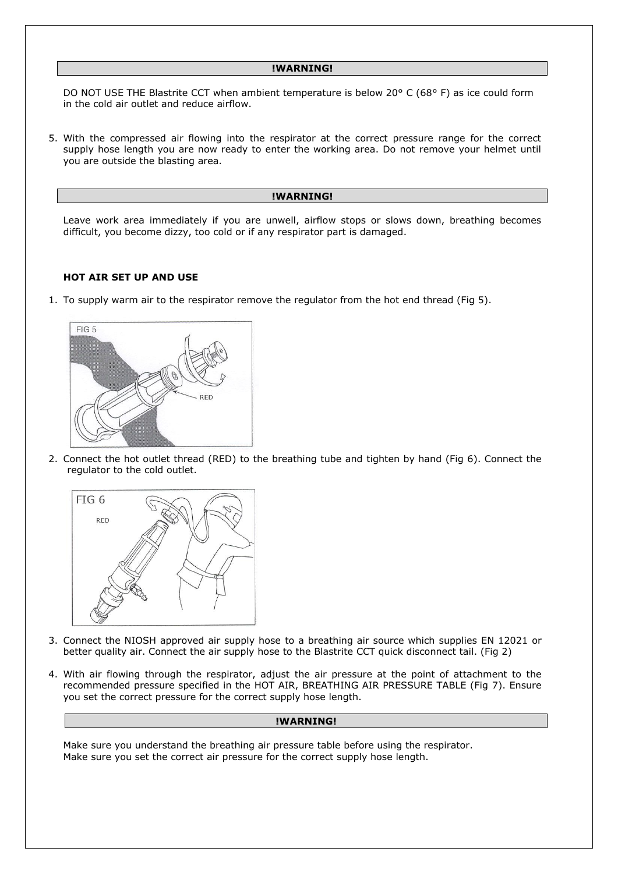#### **!WARNING!**

DO NOT USE THE Blastrite CCT when ambient temperature is below 20° C (68° F) as ice could form in the cold air outlet and reduce airflow.

5. With the compressed air flowing into the respirator at the correct pressure range for the correct supply hose length you are now ready to enter the working area. Do not remove your helmet until you are outside the blasting area.

#### **!WARNING!**

Leave work area immediately if you are unwell, airflow stops or slows down, breathing becomes difficult, you become dizzy, too cold or if any respirator part is damaged.

#### **HOT AIR SET UP AND USE**

1. To supply warm air to the respirator remove the regulator from the hot end thread (Fig 5).



2. Connect the hot outlet thread (RED) to the breathing tube and tighten by hand (Fig 6). Connect the regulator to the cold outlet.



- 3. Connect the NIOSH approved air supply hose to a breathing air source which supplies EN 12021 or better quality air. Connect the air supply hose to the Blastrite CCT quick disconnect tail. (Fig 2)
- 4. With air flowing through the respirator, adjust the air pressure at the point of attachment to the recommended pressure specified in the HOT AIR, BREATHING AIR PRESSURE TABLE (Fig 7). Ensure you set the correct pressure for the correct supply hose length.

## **!WARNING!**

Make sure you understand the breathing air pressure table before using the respirator. Make sure you set the correct air pressure for the correct supply hose length.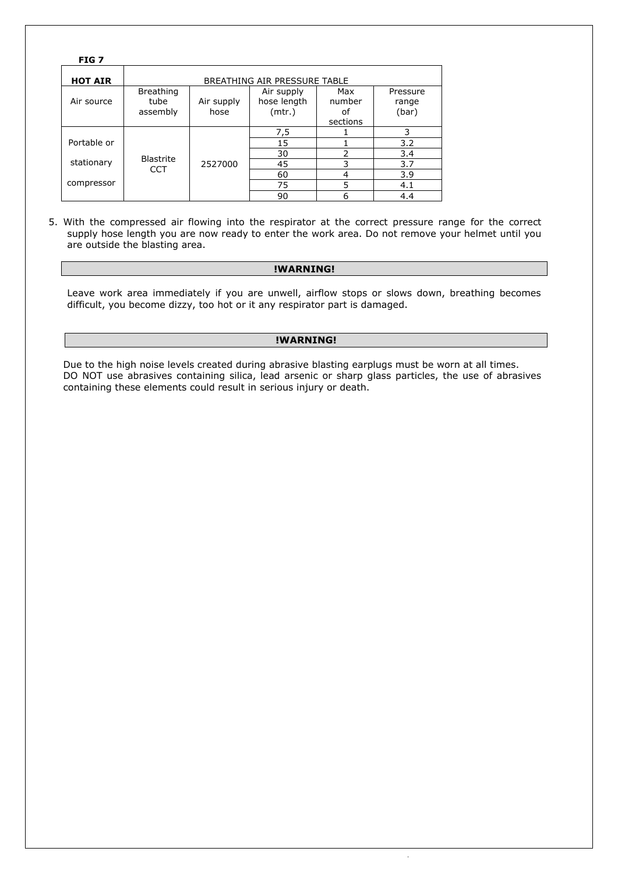| FIG <sub>7</sub> |                                      |                    |                                     |                                 |                            |  |  |
|------------------|--------------------------------------|--------------------|-------------------------------------|---------------------------------|----------------------------|--|--|
| <b>HOT AIR</b>   | BREATHING AIR PRESSURE TABLE         |                    |                                     |                                 |                            |  |  |
| Air source       | <b>Breathing</b><br>tube<br>assembly | Air supply<br>hose | Air supply<br>hose length<br>(mtr.) | Max<br>number<br>οf<br>sections | Pressure<br>range<br>(bar) |  |  |
|                  |                                      |                    | 7,5                                 |                                 | 3                          |  |  |
| Portable or      |                                      |                    | 15                                  |                                 | 3.2                        |  |  |
|                  | <b>Blastrite</b>                     |                    | 30                                  | $\mathcal{P}$                   | 3.4                        |  |  |
| stationary       | <b>CCT</b>                           | 2527000            | 45                                  | 3                               | 3.7                        |  |  |
|                  |                                      |                    | 60                                  | 4                               | 3.9                        |  |  |
| compressor       |                                      |                    | 75                                  | 5                               | 4.1                        |  |  |
|                  |                                      |                    | 90                                  | 6                               | 4.4                        |  |  |

5. With the compressed air flowing into the respirator at the correct pressure range for the correct supply hose length you are now ready to enter the work area. Do not remove your helmet until you are outside the blasting area.

## **!WARNING!**

Leave work area immediately if you are unwell, airflow stops or slows down, breathing becomes difficult, you become dizzy, too hot or it any respirator part is damaged.

# **!WARNING!**

Due to the high noise levels created during abrasive blasting earplugs must be worn at all times. DO NOT use abrasives containing silica, lead arsenic or sharp glass particles, the use of abrasives containing these elements could result in serious injury or death.

.